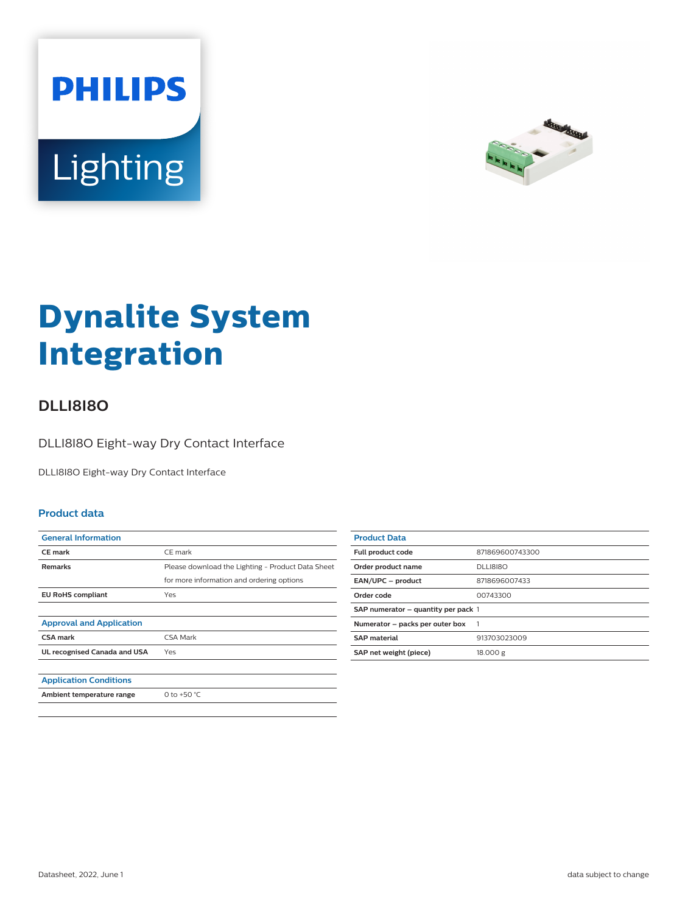



# **Dynalite System Integration**

## **DLLI8I8O**

DLLI8I8O Eight-way Dry Contact Interface

DLLI8I8O Eight-way Dry Contact Interface

#### **Product data**

| <b>General Information</b>      |                                                   |
|---------------------------------|---------------------------------------------------|
| <b>CE</b> mark                  | CE mark                                           |
| Remarks                         | Please download the Lighting - Product Data Sheet |
|                                 | for more information and ordering options         |
| <b>EU RoHS compliant</b>        | Yes                                               |
|                                 |                                                   |
| <b>Approval and Application</b> |                                                   |
| <b>CSA mark</b>                 | CSA Mark                                          |
| UL recognised Canada and USA    | Yes                                               |
|                                 |                                                   |
| <b>Application Conditions</b>   |                                                   |
| Ambient temperature range       | 0 to +50 $^{\circ}$ C                             |
|                                 |                                                   |

| <b>Product Data</b>                 |                 |
|-------------------------------------|-----------------|
| <b>Full product code</b>            | 871869600743300 |
| Order product name                  | <b>DLLI8I8O</b> |
| EAN/UPC - product                   | 8718696007433   |
| Order code                          | 00743300        |
| SAP numerator - quantity per pack 1 |                 |
| Numerator - packs per outer box     |                 |
| <b>SAP</b> material                 | 913703023009    |
| SAP net weight (piece)              | 18.000 g        |
|                                     |                 |